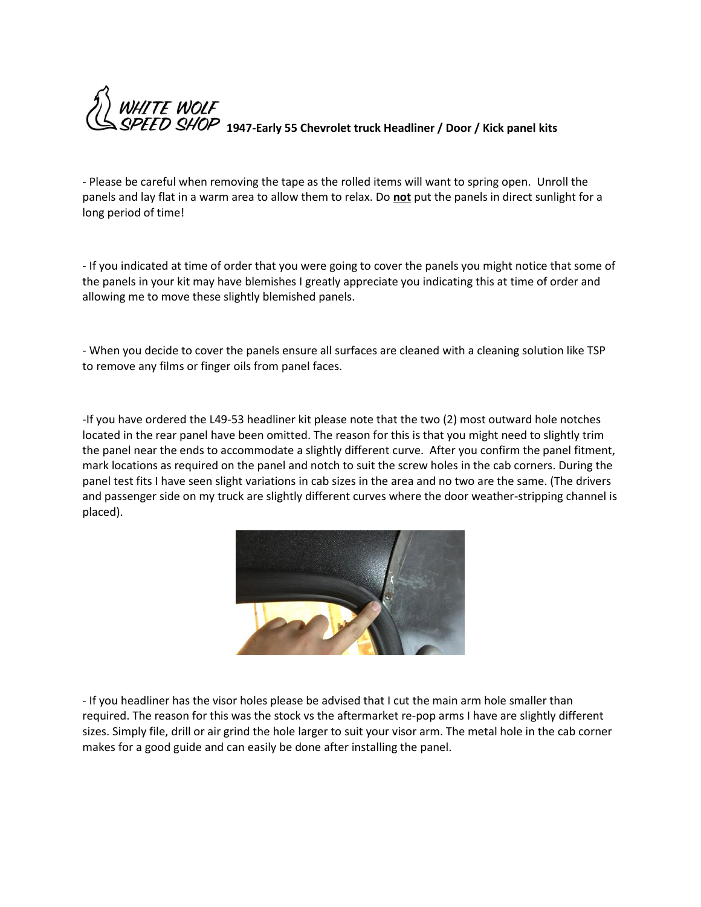

- Please be careful when removing the tape as the rolled items will want to spring open. Unroll the panels and lay flat in a warm area to allow them to relax. Do **not** put the panels in direct sunlight for a long period of time!

- If you indicated at time of order that you were going to cover the panels you might notice that some of the panels in your kit may have blemishes I greatly appreciate you indicating this at time of order and allowing me to move these slightly blemished panels.

- When you decide to cover the panels ensure all surfaces are cleaned with a cleaning solution like TSP to remove any films or finger oils from panel faces.

-If you have ordered the L49-53 headliner kit please note that the two (2) most outward hole notches located in the rear panel have been omitted. The reason for this is that you might need to slightly trim the panel near the ends to accommodate a slightly different curve. After you confirm the panel fitment, mark locations as required on the panel and notch to suit the screw holes in the cab corners. During the panel test fits I have seen slight variations in cab sizes in the area and no two are the same. (The drivers and passenger side on my truck are slightly different curves where the door weather-stripping channel is placed).



- If you headliner has the visor holes please be advised that I cut the main arm hole smaller than required. The reason for this was the stock vs the aftermarket re-pop arms I have are slightly different sizes. Simply file, drill or air grind the hole larger to suit your visor arm. The metal hole in the cab corner makes for a good guide and can easily be done after installing the panel.